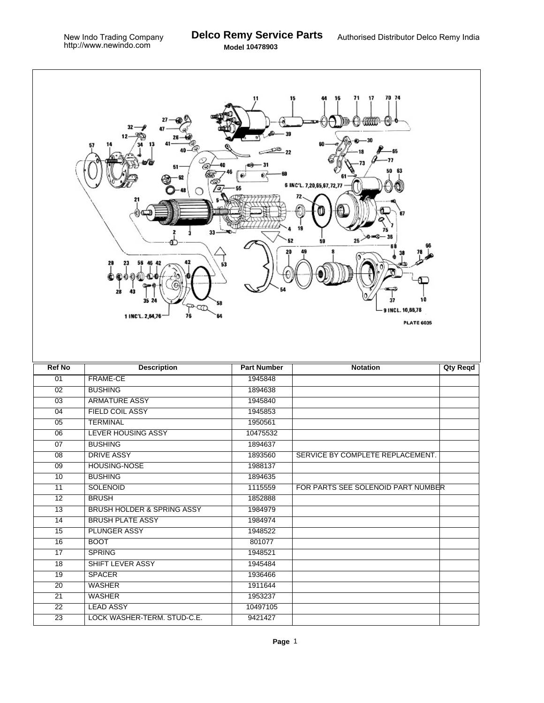|                       | 33<br>28<br>53<br>28<br>35 24<br>58<br>☜<br>1 INC'L. 2,64,76<br>76<br>64 | 11                  | 70 74<br>71<br>17<br>15<br>16<br>mm<br><del>U HAN</del><br>⊕։ Ո<br>65<br>77<br>6 INC'L. 7,20,65,67,72,77<br>67<br>x0 o=0<br>$25 -$<br>59<br>10<br>37<br>9 INCL. 10,66,78<br><b>PLATE 6035</b> |                 |
|-----------------------|--------------------------------------------------------------------------|---------------------|-----------------------------------------------------------------------------------------------------------------------------------------------------------------------------------------------|-----------------|
| <b>Ref No</b>         | <b>Description</b>                                                       | <b>Part Number</b>  | <b>Notation</b>                                                                                                                                                                               | <b>Qty Reqd</b> |
| 01                    | FRAME-CE                                                                 | 1945848             |                                                                                                                                                                                               |                 |
| 02                    | <b>BUSHING</b>                                                           | 1894638             |                                                                                                                                                                                               |                 |
| $\overline{03}$       | <b>ARMATURE ASSY</b>                                                     | 1945840             |                                                                                                                                                                                               |                 |
| $\overline{04}$       | <b>FIELD COIL ASSY</b>                                                   | 1945853             |                                                                                                                                                                                               |                 |
| 05                    | <b>TERMINAL</b>                                                          | 1950561             |                                                                                                                                                                                               |                 |
| $\overline{06}$       | <b>LEVER HOUSING ASSY</b>                                                | 10475532            |                                                                                                                                                                                               |                 |
| $\overline{07}$       | <b>BUSHING</b>                                                           | 1894637             |                                                                                                                                                                                               |                 |
| 08                    | <b>DRIVE ASSY</b>                                                        | 1893560             | SERVICE BY COMPLETE REPLACEMENT.                                                                                                                                                              |                 |
| $\overline{09}$       | <b>HOUSING-NOSE</b>                                                      | 1988137             |                                                                                                                                                                                               |                 |
| 10                    | <b>BUSHING</b>                                                           | 1894635             |                                                                                                                                                                                               |                 |
| $\overline{11}$       | <b>SOLENOID</b>                                                          | 1115559             | FOR PARTS SEE SOLENOID PART NUMBER                                                                                                                                                            |                 |
| $\overline{12}$       | <b>BRUSH</b>                                                             | 1852888             |                                                                                                                                                                                               |                 |
| 13                    | BRUSH HOLDER & SPRING ASSY                                               | 1984979             |                                                                                                                                                                                               |                 |
| 14                    | <b>BRUSH PLATE ASSY</b>                                                  | 1984974             |                                                                                                                                                                                               |                 |
| 15                    | <b>PLUNGER ASSY</b>                                                      | 1948522             |                                                                                                                                                                                               |                 |
| 16                    | <b>BOOT</b>                                                              | 801077              |                                                                                                                                                                                               |                 |
| $\overline{17}$       | <b>SPRING</b>                                                            | 1948521             |                                                                                                                                                                                               |                 |
| 18                    | <b>SHIFT LEVER ASSY</b>                                                  | 1945484             |                                                                                                                                                                                               |                 |
| 19                    |                                                                          |                     |                                                                                                                                                                                               |                 |
| $\overline{20}$       | <b>SPACER</b>                                                            | 1936466             |                                                                                                                                                                                               |                 |
|                       | <b>WASHER</b>                                                            | 1911644             |                                                                                                                                                                                               |                 |
| $\overline{21}$       | <b>WASHER</b>                                                            | 1953237             |                                                                                                                                                                                               |                 |
| 22<br>$\overline{23}$ | <b>LEAD ASSY</b><br>LOCK WASHER-TERM. STUD-C.E.                          | 10497105<br>9421427 |                                                                                                                                                                                               |                 |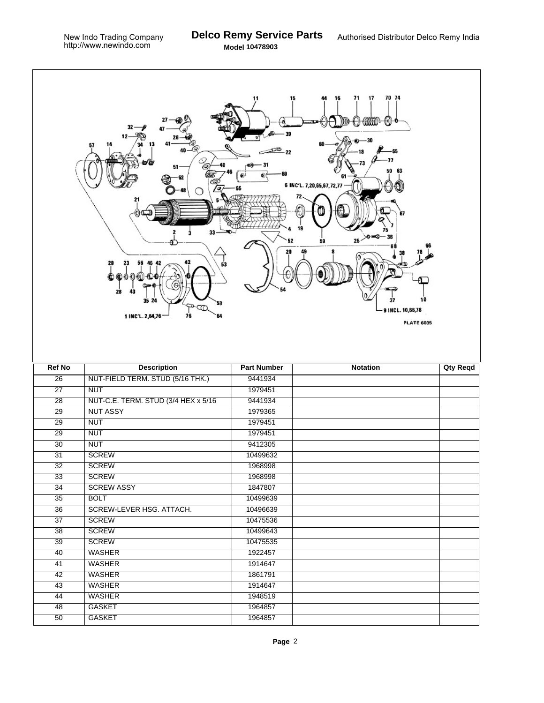$\Gamma$ 

|                 | 33<br>29<br>28<br>43<br>35 24<br>58<br>∾ঞ<br>1 INC'L. 2,64,76<br>76<br>64 | 11<br>15           | 70 74<br>71<br>17<br>16<br>,θ<br>an an<br>63<br>50<br>6 INC'L. 7,20,65,67,72,77<br>$25 - 0$<br>59<br>10<br>9 INCL. 10,66,78<br><b>PLATE 6035</b> |                 |
|-----------------|---------------------------------------------------------------------------|--------------------|--------------------------------------------------------------------------------------------------------------------------------------------------|-----------------|
| <b>Ref No</b>   | <b>Description</b>                                                        | <b>Part Number</b> | <b>Notation</b>                                                                                                                                  | <b>Qty Reqd</b> |
| $\overline{26}$ | NUT-FIELD TERM. STUD (5/16 THK.)                                          | 9441934            |                                                                                                                                                  |                 |
| $\overline{27}$ | <b>NUT</b>                                                                | 1979451            |                                                                                                                                                  |                 |
| $\overline{28}$ | NUT-C.E. TERM. STUD (3/4 HEX x 5/16)                                      | 9441934            |                                                                                                                                                  |                 |
| $\overline{29}$ | <b>NUT ASSY</b>                                                           | 1979365            |                                                                                                                                                  |                 |
| $\overline{29}$ | <b>NUT</b>                                                                | 1979451            |                                                                                                                                                  |                 |
| $\overline{29}$ | <b>NUT</b>                                                                | 1979451            |                                                                                                                                                  |                 |
| $\overline{30}$ | <b>NUT</b>                                                                | 9412305            |                                                                                                                                                  |                 |
| 31              | <b>SCREW</b>                                                              | 10499632           |                                                                                                                                                  |                 |
| $\overline{32}$ | <b>SCREW</b>                                                              | 1968998            |                                                                                                                                                  |                 |
| $\overline{33}$ | <b>SCREW</b>                                                              | 1968998            |                                                                                                                                                  |                 |
| 34              | <b>SCREW ASSY</b>                                                         | 1847807            |                                                                                                                                                  |                 |
| $\overline{35}$ | <b>BOLT</b>                                                               | 10499639           |                                                                                                                                                  |                 |
| $\overline{36}$ | SCREW-LEVER HSG. ATTACH.                                                  | 10496639           |                                                                                                                                                  |                 |
| 37              | <b>SCREW</b>                                                              | 10475536           |                                                                                                                                                  |                 |
| $\overline{38}$ | <b>SCREW</b>                                                              | 10499643           |                                                                                                                                                  |                 |
| 39              | <b>SCREW</b>                                                              | 10475535           |                                                                                                                                                  |                 |
| 40              | <b>WASHER</b>                                                             | 1922457            |                                                                                                                                                  |                 |
| 41              | <b>WASHER</b>                                                             | 1914647            |                                                                                                                                                  |                 |
| 42              | WASHER                                                                    | 1861791            |                                                                                                                                                  |                 |
| $\overline{43}$ | <b>WASHER</b>                                                             | 1914647            |                                                                                                                                                  |                 |
| 44              | <b>WASHER</b>                                                             | 1948519            |                                                                                                                                                  |                 |
| 48              | <b>GASKET</b>                                                             | 1964857            |                                                                                                                                                  |                 |
| $\overline{50}$ | <b>GASKET</b>                                                             | 1964857            |                                                                                                                                                  |                 |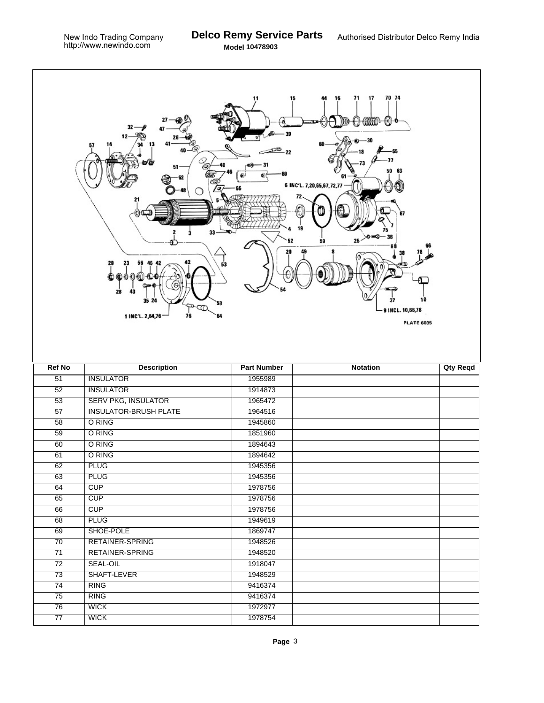Г

|                 | 32<br>13<br>57<br>r0.<br>51<br>33<br>29<br>56<br>28<br>43<br>35 24<br>₹<br>1 INC'L. 2,64,76<br>76 | 15<br>53<br>58<br>64 | 70 74<br>71<br>17<br>16<br>DD-C) GRAP<br>([€])<br>65<br>77<br>63<br>50<br>6 INC'L. 7,20,65,67,72,77<br>72<br>87<br>$25 - 0 - 0$<br>$-36$<br>59<br>10<br>37<br>9 INCL. 10,66,78<br><b>PLATE 6035</b> |                 |
|-----------------|---------------------------------------------------------------------------------------------------|----------------------|-----------------------------------------------------------------------------------------------------------------------------------------------------------------------------------------------------|-----------------|
| <b>Ref No</b>   | <b>Description</b>                                                                                | <b>Part Number</b>   | <b>Notation</b>                                                                                                                                                                                     | <b>Qty Reqd</b> |
| 51              | <b>INSULATOR</b>                                                                                  | 1955989              |                                                                                                                                                                                                     |                 |
| 52              | <b>INSULATOR</b>                                                                                  | 1914873              |                                                                                                                                                                                                     |                 |
| $\overline{53}$ | <b>SERV PKG, INSULATOR</b>                                                                        | 1965472              |                                                                                                                                                                                                     |                 |
| $\overline{57}$ | <b>INSULATOR-BRUSH PLATE</b>                                                                      | 1964516              |                                                                                                                                                                                                     |                 |
| 58              | O RING                                                                                            | 1945860              |                                                                                                                                                                                                     |                 |
| $\overline{59}$ | O RING                                                                                            | 1851960              |                                                                                                                                                                                                     |                 |
| 60              | O RING                                                                                            | 1894643              |                                                                                                                                                                                                     |                 |
| 61              | O RING                                                                                            | 1894642              |                                                                                                                                                                                                     |                 |
| 62              | <b>PLUG</b>                                                                                       | 1945356              |                                                                                                                                                                                                     |                 |
| 63              | <b>PLUG</b>                                                                                       | 1945356              |                                                                                                                                                                                                     |                 |
| 64              | CUP                                                                                               | 1978756              |                                                                                                                                                                                                     |                 |
| 65              | CUP                                                                                               | 1978756              |                                                                                                                                                                                                     |                 |
| 66              | CUP                                                                                               | 1978756              |                                                                                                                                                                                                     |                 |
| 68              | <b>PLUG</b>                                                                                       | 1949619              |                                                                                                                                                                                                     |                 |
| 69              | SHOE-POLE                                                                                         | 1869747              |                                                                                                                                                                                                     |                 |
| $\overline{70}$ | RETAINER-SPRING                                                                                   | 1948526              |                                                                                                                                                                                                     |                 |
| $\overline{71}$ | <b>RETAINER-SPRING</b>                                                                            | 1948520              |                                                                                                                                                                                                     |                 |
| $\overline{72}$ | <b>SEAL-OIL</b>                                                                                   | 1918047              |                                                                                                                                                                                                     |                 |
| $\overline{73}$ | SHAFT-LEVER                                                                                       | 1948529              |                                                                                                                                                                                                     |                 |
| $\overline{74}$ | <b>RING</b>                                                                                       | 9416374              |                                                                                                                                                                                                     |                 |
| $\overline{75}$ | <b>RING</b>                                                                                       | 9416374              |                                                                                                                                                                                                     |                 |
| 76              | <b>WICK</b>                                                                                       | 1972977              |                                                                                                                                                                                                     |                 |
| $\overline{77}$ | <b>WICK</b>                                                                                       | 1978754              |                                                                                                                                                                                                     |                 |